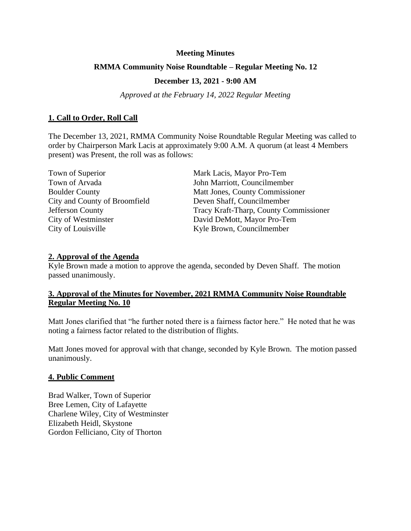### **Meeting Minutes**

### **RMMA Community Noise Roundtable – Regular Meeting No. 12**

### **December 13, 2021 - 9:00 AM**

*Approved at the February 14, 2022 Regular Meeting*

## **1. Call to Order, Roll Call**

The December 13, 2021, RMMA Community Noise Roundtable Regular Meeting was called to order by Chairperson Mark Lacis at approximately 9:00 A.M. A quorum (at least 4 Members present) was Present, the roll was as follows:

| Town of Superior              | Mark Lacis, Mayor Pro-Tem              |
|-------------------------------|----------------------------------------|
| Town of Arvada                | John Marriott, Councilmember           |
| <b>Boulder County</b>         | Matt Jones, County Commissioner        |
| City and County of Broomfield | Deven Shaff, Councilmember             |
| Jefferson County              | Tracy Kraft-Tharp, County Commissioner |
| City of Westminster           | David DeMott, Mayor Pro-Tem            |
| City of Louisville            | Kyle Brown, Councilmember              |

#### **2. Approval of the Agenda**

Kyle Brown made a motion to approve the agenda, seconded by Deven Shaff. The motion passed unanimously.

## **3. Approval of the Minutes for November, 2021 RMMA Community Noise Roundtable Regular Meeting No. 10**

Matt Jones clarified that "he further noted there is a fairness factor here." He noted that he was noting a fairness factor related to the distribution of flights.

Matt Jones moved for approval with that change, seconded by Kyle Brown. The motion passed unanimously.

#### **4. Public Comment**

Brad Walker, Town of Superior Bree Lemen, City of Lafayette Charlene Wiley, City of Westminster Elizabeth Heidl, Skystone Gordon Felliciano, City of Thorton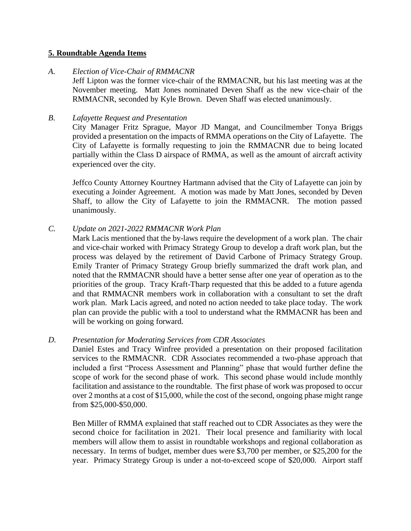### **5. Roundtable Agenda Items**

#### *A. Election of Vice-Chair of RMMACNR*

Jeff Lipton was the former vice-chair of the RMMACNR, but his last meeting was at the November meeting. Matt Jones nominated Deven Shaff as the new vice-chair of the RMMACNR, seconded by Kyle Brown. Deven Shaff was elected unanimously.

## *B. Lafayette Request and Presentation*

City Manager Fritz Sprague, Mayor JD Mangat, and Councilmember Tonya Briggs provided a presentation on the impacts of RMMA operations on the City of Lafayette. The City of Lafayette is formally requesting to join the RMMACNR due to being located partially within the Class D airspace of RMMA, as well as the amount of aircraft activity experienced over the city.

Jeffco County Attorney Kourtney Hartmann advised that the City of Lafayette can join by executing a Joinder Agreement. A motion was made by Matt Jones, seconded by Deven Shaff, to allow the City of Lafayette to join the RMMACNR. The motion passed unanimously.

## *C. Update on 2021-2022 RMMACNR Work Plan*

Mark Lacis mentioned that the by-laws require the development of a work plan. The chair and vice-chair worked with Primacy Strategy Group to develop a draft work plan, but the process was delayed by the retirement of David Carbone of Primacy Strategy Group. Emily Tranter of Primacy Strategy Group briefly summarized the draft work plan, and noted that the RMMACNR should have a better sense after one year of operation as to the priorities of the group. Tracy Kraft-Tharp requested that this be added to a future agenda and that RMMACNR members work in collaboration with a consultant to set the draft work plan. Mark Lacis agreed, and noted no action needed to take place today. The work plan can provide the public with a tool to understand what the RMMACNR has been and will be working on going forward.

#### *D. Presentation for Moderating Services from CDR Associates*

Daniel Estes and Tracy Winfree provided a presentation on their proposed facilitation services to the RMMACNR. CDR Associates recommended a two-phase approach that included a first "Process Assessment and Planning" phase that would further define the scope of work for the second phase of work. This second phase would include monthly facilitation and assistance to the roundtable. The first phase of work was proposed to occur over 2 months at a cost of \$15,000, while the cost of the second, ongoing phase might range from \$25,000-\$50,000.

Ben Miller of RMMA explained that staff reached out to CDR Associates as they were the second choice for facilitation in 2021. Their local presence and familiarity with local members will allow them to assist in roundtable workshops and regional collaboration as necessary. In terms of budget, member dues were \$3,700 per member, or \$25,200 for the year. Primacy Strategy Group is under a not-to-exceed scope of \$20,000. Airport staff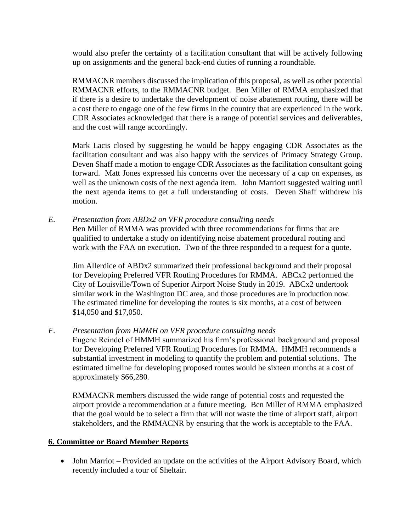would also prefer the certainty of a facilitation consultant that will be actively following up on assignments and the general back-end duties of running a roundtable.

RMMACNR members discussed the implication of this proposal, as well as other potential RMMACNR efforts, to the RMMACNR budget. Ben Miller of RMMA emphasized that if there is a desire to undertake the development of noise abatement routing, there will be a cost there to engage one of the few firms in the country that are experienced in the work. CDR Associates acknowledged that there is a range of potential services and deliverables, and the cost will range accordingly.

Mark Lacis closed by suggesting he would be happy engaging CDR Associates as the facilitation consultant and was also happy with the services of Primacy Strategy Group. Deven Shaff made a motion to engage CDR Associates as the facilitation consultant going forward. Matt Jones expressed his concerns over the necessary of a cap on expenses, as well as the unknown costs of the next agenda item. John Marriott suggested waiting until the next agenda items to get a full understanding of costs. Deven Shaff withdrew his motion.

*E. Presentation from ABDx2 on VFR procedure consulting needs*

Ben Miller of RMMA was provided with three recommendations for firms that are qualified to undertake a study on identifying noise abatement procedural routing and work with the FAA on execution. Two of the three responded to a request for a quote.

Jim Allerdice of ABDx2 summarized their professional background and their proposal for Developing Preferred VFR Routing Procedures for RMMA. ABCx2 performed the City of Louisville/Town of Superior Airport Noise Study in 2019. ABCx2 undertook similar work in the Washington DC area, and those procedures are in production now. The estimated timeline for developing the routes is six months, at a cost of between \$14,050 and \$17,050.

*F. Presentation from HMMH on VFR procedure consulting needs*

Eugene Reindel of HMMH summarized his firm's professional background and proposal for Developing Preferred VFR Routing Procedures for RMMA. HMMH recommends a substantial investment in modeling to quantify the problem and potential solutions. The estimated timeline for developing proposed routes would be sixteen months at a cost of approximately \$66,280.

RMMACNR members discussed the wide range of potential costs and requested the airport provide a recommendation at a future meeting. Ben Miller of RMMA emphasized that the goal would be to select a firm that will not waste the time of airport staff, airport stakeholders, and the RMMACNR by ensuring that the work is acceptable to the FAA.

## **6. Committee or Board Member Reports**

• John Marriot – Provided an update on the activities of the Airport Advisory Board, which recently included a tour of Sheltair.